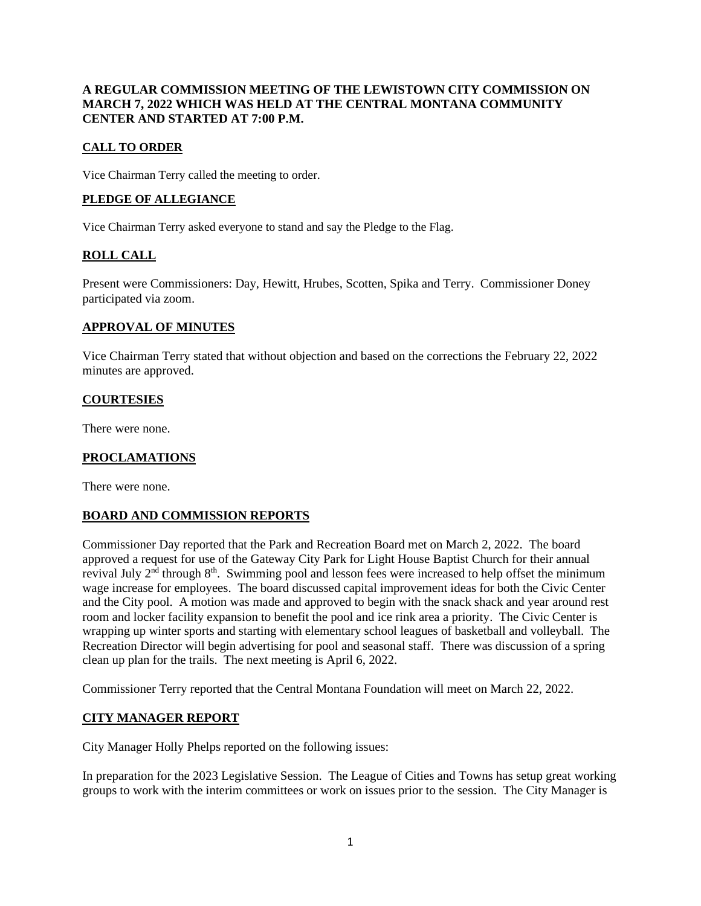### **A REGULAR COMMISSION MEETING OF THE LEWISTOWN CITY COMMISSION ON MARCH 7, 2022 WHICH WAS HELD AT THE CENTRAL MONTANA COMMUNITY CENTER AND STARTED AT 7:00 P.M.**

## **CALL TO ORDER**

Vice Chairman Terry called the meeting to order.

### **PLEDGE OF ALLEGIANCE**

Vice Chairman Terry asked everyone to stand and say the Pledge to the Flag.

# **ROLL CALL**

Present were Commissioners: Day, Hewitt, Hrubes, Scotten, Spika and Terry. Commissioner Doney participated via zoom.

### **APPROVAL OF MINUTES**

Vice Chairman Terry stated that without objection and based on the corrections the February 22, 2022 minutes are approved.

### **COURTESIES**

There were none.

### **PROCLAMATIONS**

There were none.

# **BOARD AND COMMISSION REPORTS**

Commissioner Day reported that the Park and Recreation Board met on March 2, 2022. The board approved a request for use of the Gateway City Park for Light House Baptist Church for their annual revival July 2<sup>nd</sup> through 8<sup>th</sup>. Swimming pool and lesson fees were increased to help offset the minimum wage increase for employees. The board discussed capital improvement ideas for both the Civic Center and the City pool. A motion was made and approved to begin with the snack shack and year around rest room and locker facility expansion to benefit the pool and ice rink area a priority. The Civic Center is wrapping up winter sports and starting with elementary school leagues of basketball and volleyball. The Recreation Director will begin advertising for pool and seasonal staff. There was discussion of a spring clean up plan for the trails. The next meeting is April 6, 2022.

Commissioner Terry reported that the Central Montana Foundation will meet on March 22, 2022.

## **CITY MANAGER REPORT**

City Manager Holly Phelps reported on the following issues:

In preparation for the 2023 Legislative Session. The League of Cities and Towns has setup great working groups to work with the interim committees or work on issues prior to the session. The City Manager is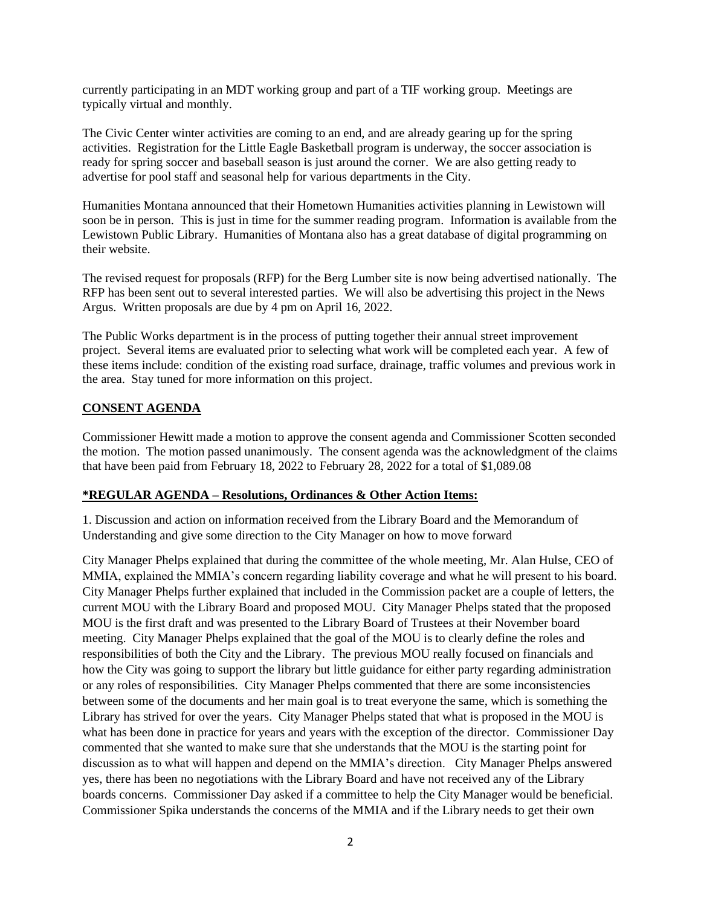currently participating in an MDT working group and part of a TIF working group. Meetings are typically virtual and monthly.

The Civic Center winter activities are coming to an end, and are already gearing up for the spring activities. Registration for the Little Eagle Basketball program is underway, the soccer association is ready for spring soccer and baseball season is just around the corner. We are also getting ready to advertise for pool staff and seasonal help for various departments in the City.

Humanities Montana announced that their Hometown Humanities activities planning in Lewistown will soon be in person. This is just in time for the summer reading program. Information is available from the Lewistown Public Library. Humanities of Montana also has a great database of digital programming on their website.

The revised request for proposals (RFP) for the Berg Lumber site is now being advertised nationally. The RFP has been sent out to several interested parties. We will also be advertising this project in the News Argus. Written proposals are due by 4 pm on April 16, 2022.

The Public Works department is in the process of putting together their annual street improvement project. Several items are evaluated prior to selecting what work will be completed each year. A few of these items include: condition of the existing road surface, drainage, traffic volumes and previous work in the area. Stay tuned for more information on this project.

## **CONSENT AGENDA**

Commissioner Hewitt made a motion to approve the consent agenda and Commissioner Scotten seconded the motion. The motion passed unanimously. The consent agenda was the acknowledgment of the claims that have been paid from February 18, 2022 to February 28, 2022 for a total of \$1,089.08

### **\*REGULAR AGENDA – Resolutions, Ordinances & Other Action Items:**

1. Discussion and action on information received from the Library Board and the Memorandum of Understanding and give some direction to the City Manager on how to move forward

City Manager Phelps explained that during the committee of the whole meeting, Mr. Alan Hulse, CEO of MMIA, explained the MMIA's concern regarding liability coverage and what he will present to his board. City Manager Phelps further explained that included in the Commission packet are a couple of letters, the current MOU with the Library Board and proposed MOU. City Manager Phelps stated that the proposed MOU is the first draft and was presented to the Library Board of Trustees at their November board meeting. City Manager Phelps explained that the goal of the MOU is to clearly define the roles and responsibilities of both the City and the Library. The previous MOU really focused on financials and how the City was going to support the library but little guidance for either party regarding administration or any roles of responsibilities. City Manager Phelps commented that there are some inconsistencies between some of the documents and her main goal is to treat everyone the same, which is something the Library has strived for over the years. City Manager Phelps stated that what is proposed in the MOU is what has been done in practice for years and years with the exception of the director. Commissioner Day commented that she wanted to make sure that she understands that the MOU is the starting point for discussion as to what will happen and depend on the MMIA's direction. City Manager Phelps answered yes, there has been no negotiations with the Library Board and have not received any of the Library boards concerns. Commissioner Day asked if a committee to help the City Manager would be beneficial. Commissioner Spika understands the concerns of the MMIA and if the Library needs to get their own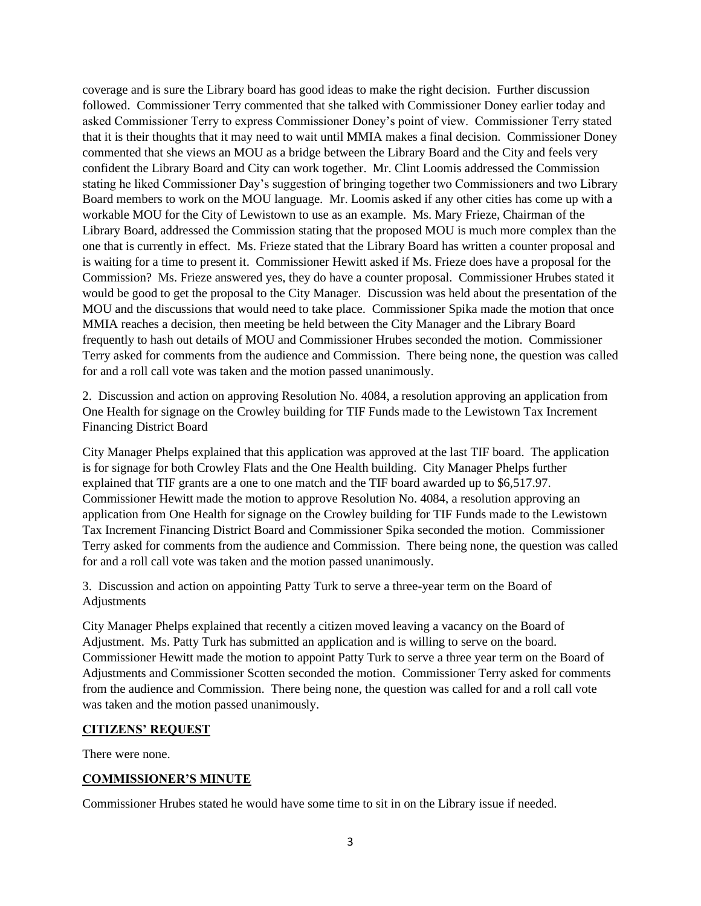coverage and is sure the Library board has good ideas to make the right decision. Further discussion followed. Commissioner Terry commented that she talked with Commissioner Doney earlier today and asked Commissioner Terry to express Commissioner Doney's point of view. Commissioner Terry stated that it is their thoughts that it may need to wait until MMIA makes a final decision. Commissioner Doney commented that she views an MOU as a bridge between the Library Board and the City and feels very confident the Library Board and City can work together. Mr. Clint Loomis addressed the Commission stating he liked Commissioner Day's suggestion of bringing together two Commissioners and two Library Board members to work on the MOU language. Mr. Loomis asked if any other cities has come up with a workable MOU for the City of Lewistown to use as an example. Ms. Mary Frieze, Chairman of the Library Board, addressed the Commission stating that the proposed MOU is much more complex than the one that is currently in effect. Ms. Frieze stated that the Library Board has written a counter proposal and is waiting for a time to present it. Commissioner Hewitt asked if Ms. Frieze does have a proposal for the Commission? Ms. Frieze answered yes, they do have a counter proposal. Commissioner Hrubes stated it would be good to get the proposal to the City Manager. Discussion was held about the presentation of the MOU and the discussions that would need to take place. Commissioner Spika made the motion that once MMIA reaches a decision, then meeting be held between the City Manager and the Library Board frequently to hash out details of MOU and Commissioner Hrubes seconded the motion. Commissioner Terry asked for comments from the audience and Commission. There being none, the question was called for and a roll call vote was taken and the motion passed unanimously.

2. Discussion and action on approving Resolution No. 4084, a resolution approving an application from One Health for signage on the Crowley building for TIF Funds made to the Lewistown Tax Increment Financing District Board

City Manager Phelps explained that this application was approved at the last TIF board. The application is for signage for both Crowley Flats and the One Health building. City Manager Phelps further explained that TIF grants are a one to one match and the TIF board awarded up to \$6,517.97. Commissioner Hewitt made the motion to approve Resolution No. 4084, a resolution approving an application from One Health for signage on the Crowley building for TIF Funds made to the Lewistown Tax Increment Financing District Board and Commissioner Spika seconded the motion. Commissioner Terry asked for comments from the audience and Commission. There being none, the question was called for and a roll call vote was taken and the motion passed unanimously.

3. Discussion and action on appointing Patty Turk to serve a three-year term on the Board of Adjustments

City Manager Phelps explained that recently a citizen moved leaving a vacancy on the Board of Adjustment. Ms. Patty Turk has submitted an application and is willing to serve on the board. Commissioner Hewitt made the motion to appoint Patty Turk to serve a three year term on the Board of Adjustments and Commissioner Scotten seconded the motion. Commissioner Terry asked for comments from the audience and Commission. There being none, the question was called for and a roll call vote was taken and the motion passed unanimously.

### **CITIZENS' REQUEST**

There were none.

# **COMMISSIONER'S MINUTE**

Commissioner Hrubes stated he would have some time to sit in on the Library issue if needed.